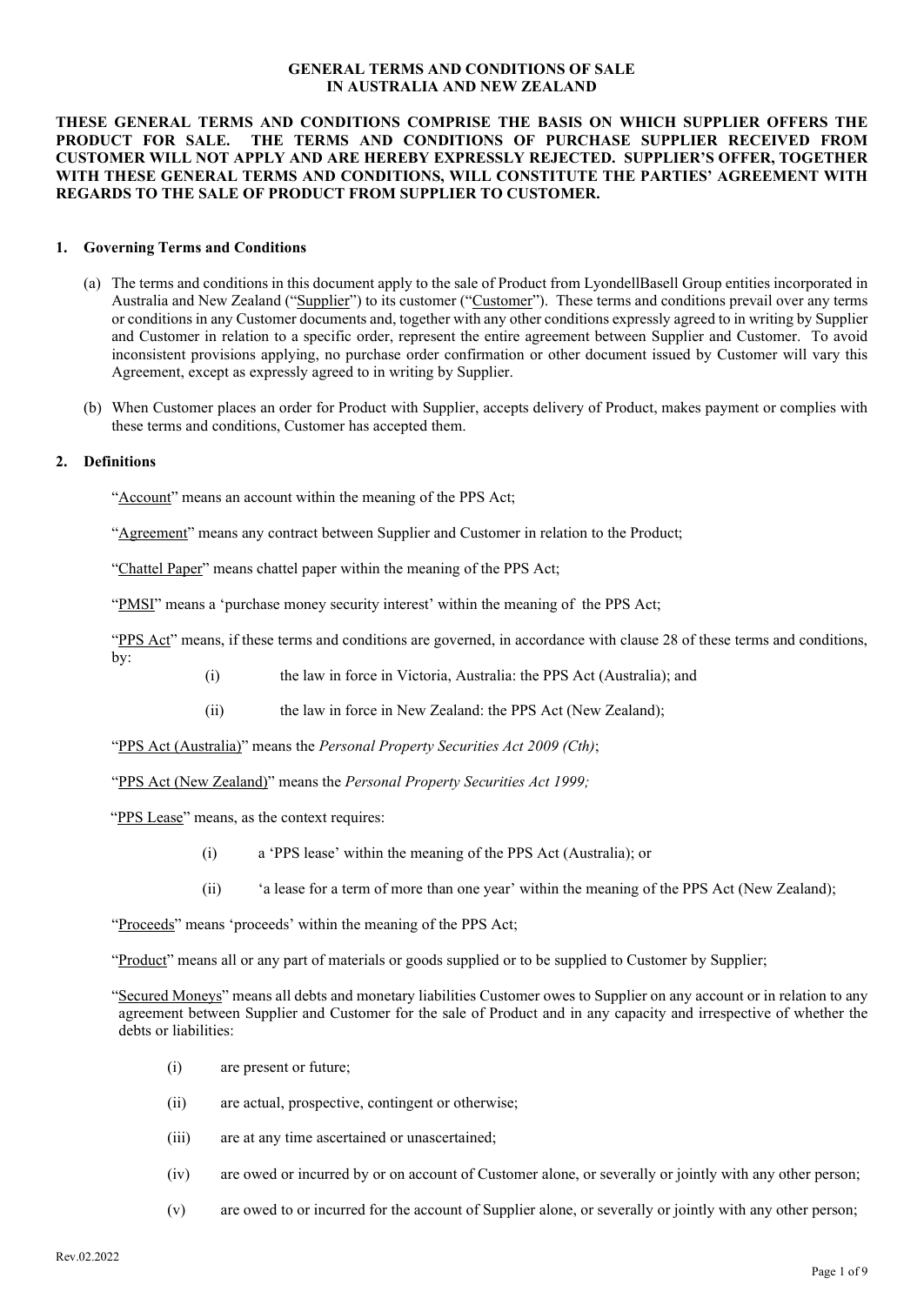#### **GENERAL TERMS AND CONDITIONS OF SALE IN AUSTRALIA AND NEW ZEALAND**

### **THESE GENERAL TERMS AND CONDITIONS COMPRISE THE BASIS ON WHICH SUPPLIER OFFERS THE**  THE TERMS AND CONDITIONS OF PURCHASE SUPPLIER RECEIVED FROM **CUSTOMER WILL NOT APPLY AND ARE HEREBY EXPRESSLY REJECTED. SUPPLIER'S OFFER, TOGETHER WITH THESE GENERAL TERMS AND CONDITIONS, WILL CONSTITUTE THE PARTIES' AGREEMENT WITH REGARDS TO THE SALE OF PRODUCT FROM SUPPLIER TO CUSTOMER.**

#### **1. Governing Terms and Conditions**

- (a) The terms and conditions in this document apply to the sale of Product from LyondellBasell Group entities incorporated in Australia and New Zealand ("Supplier") to its customer ("Customer"). These terms and conditions prevail over any terms or conditions in any Customer documents and, together with any other conditions expressly agreed to in writing by Supplier and Customer in relation to a specific order, represent the entire agreement between Supplier and Customer. To avoid inconsistent provisions applying, no purchase order confirmation or other document issued by Customer will vary this Agreement, except as expressly agreed to in writing by Supplier.
- (b) When Customer places an order for Product with Supplier, accepts delivery of Product, makes payment or complies with these terms and conditions, Customer has accepted them.

#### **2. Definitions**

"Account" means an account within the meaning of the PPS Act;

"Agreement" means any contract between Supplier and Customer in relation to the Product;

"Chattel Paper" means chattel paper within the meaning of the PPS Act;

"PMSI" means a 'purchase money security interest' within the meaning of the PPS Act;

"PPS Act" means, if these terms and conditions are governed, in accordance with clause 28 of these terms and conditions, by:

- (i) the law in force in Victoria, Australia: the PPS Act (Australia); and
- (ii) the law in force in New Zealand: the PPS Act (New Zealand);

"PPS Act (Australia)" means the *Personal Property Securities Act 2009 (Cth)*;

"PPS Act (New Zealand)" means the *Personal Property Securities Act 1999;*

"PPS Lease" means, as the context requires:

- (i) a 'PPS lease' within the meaning of the PPS Act (Australia); or
- (ii) 'a lease for a term of more than one year' within the meaning of the PPS Act (New Zealand);

"Product" means all or any part of materials or goods supplied or to be supplied to Customer by Supplier;

- (i) are present or future;
- (ii) are actual, prospective, contingent or otherwise;
- (iii) are at any time ascertained or unascertained;
- (iv) are owed or incurred by or on account of Customer alone, or severally or jointly with any other person;
- (v) are owed to or incurred for the account of Supplier alone, or severally or jointly with any other person;

<sup>&</sup>quot;Proceeds" means 'proceeds' within the meaning of the PPS Act;

<sup>&</sup>quot;Secured Moneys" means all debts and monetary liabilities Customer owes to Supplier on any account or in relation to any agreement between Supplier and Customer for the sale of Product and in any capacity and irrespective of whether the debts or liabilities: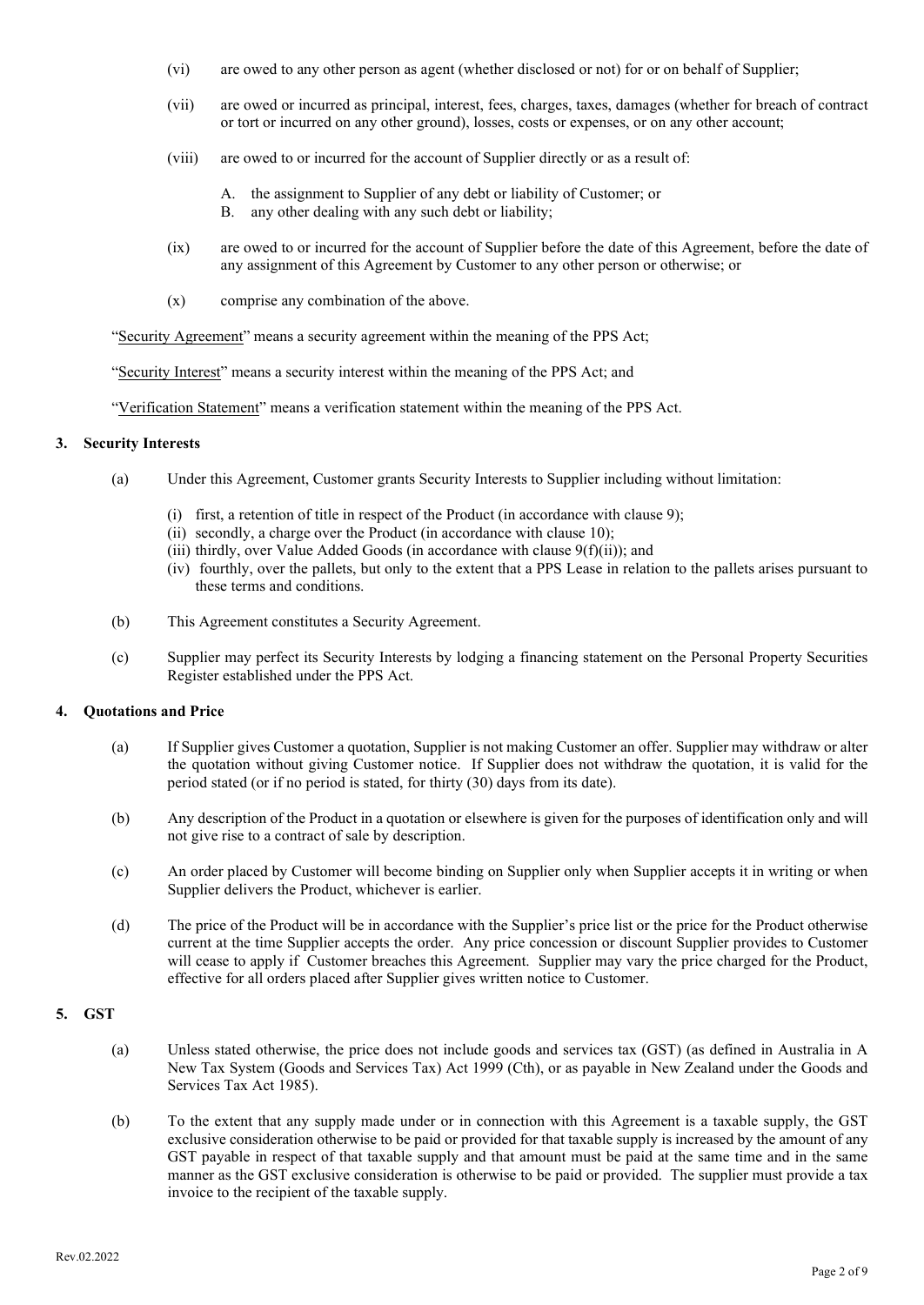- (vi) are owed to any other person as agent (whether disclosed or not) for or on behalf of Supplier;
- (vii) are owed or incurred as principal, interest, fees, charges, taxes, damages (whether for breach of contract or tort or incurred on any other ground), losses, costs or expenses, or on any other account;
- (viii) are owed to or incurred for the account of Supplier directly or as a result of:
	- A. the assignment to Supplier of any debt or liability of Customer; or
	- B. any other dealing with any such debt or liability;
- (ix) are owed to or incurred for the account of Supplier before the date of this Agreement, before the date of any assignment of this Agreement by Customer to any other person or otherwise; or
- (x) comprise any combination of the above.

"Security Agreement" means a security agreement within the meaning of the PPS Act;

"Security Interest" means a security interest within the meaning of the PPS Act; and

"Verification Statement" means a verification statement within the meaning of the PPS Act.

#### **3. Security Interests**

- (a) Under this Agreement, Customer grants Security Interests to Supplier including without limitation:
	- (i) first, a retention of title in respect of the Product (in accordance with clause 9);
	- (ii) secondly, a charge over the Product (in accordance with clause 10);
	- (iii) thirdly, over Value Added Goods (in accordance with clause 9(f)(ii)); and
	- (iv) fourthly, over the pallets, but only to the extent that a PPS Lease in relation to the pallets arises pursuant to these terms and conditions.
- (b) This Agreement constitutes a Security Agreement.
- (c) Supplier may perfect its Security Interests by lodging a financing statement on the Personal Property Securities Register established under the PPS Act.

#### **4. Quotations and Price**

- (a) If Supplier gives Customer a quotation, Supplier is not making Customer an offer. Supplier may withdraw or alter the quotation without giving Customer notice. If Supplier does not withdraw the quotation, it is valid for the period stated (or if no period is stated, for thirty (30) days from its date).
- (b) Any description of the Product in a quotation or elsewhere is given for the purposes of identification only and will not give rise to a contract of sale by description.
- (c) An order placed by Customer will become binding on Supplier only when Supplier accepts it in writing or when Supplier delivers the Product, whichever is earlier.
- (d) The price of the Product will be in accordance with the Supplier's price list or the price for the Product otherwise current at the time Supplier accepts the order. Any price concession or discount Supplier provides to Customer will cease to apply if Customer breaches this Agreement. Supplier may vary the price charged for the Product, effective for all orders placed after Supplier gives written notice to Customer.

### **5. GST**

- (a) Unless stated otherwise, the price does not include goods and services tax (GST) (as defined in Australia in A New Tax System (Goods and Services Tax) Act 1999 (Cth), or as payable in New Zealand under the Goods and Services Tax Act 1985).
- (b) To the extent that any supply made under or in connection with this Agreement is a taxable supply, the GST exclusive consideration otherwise to be paid or provided for that taxable supply is increased by the amount of any GST payable in respect of that taxable supply and that amount must be paid at the same time and in the same manner as the GST exclusive consideration is otherwise to be paid or provided. The supplier must provide a tax invoice to the recipient of the taxable supply.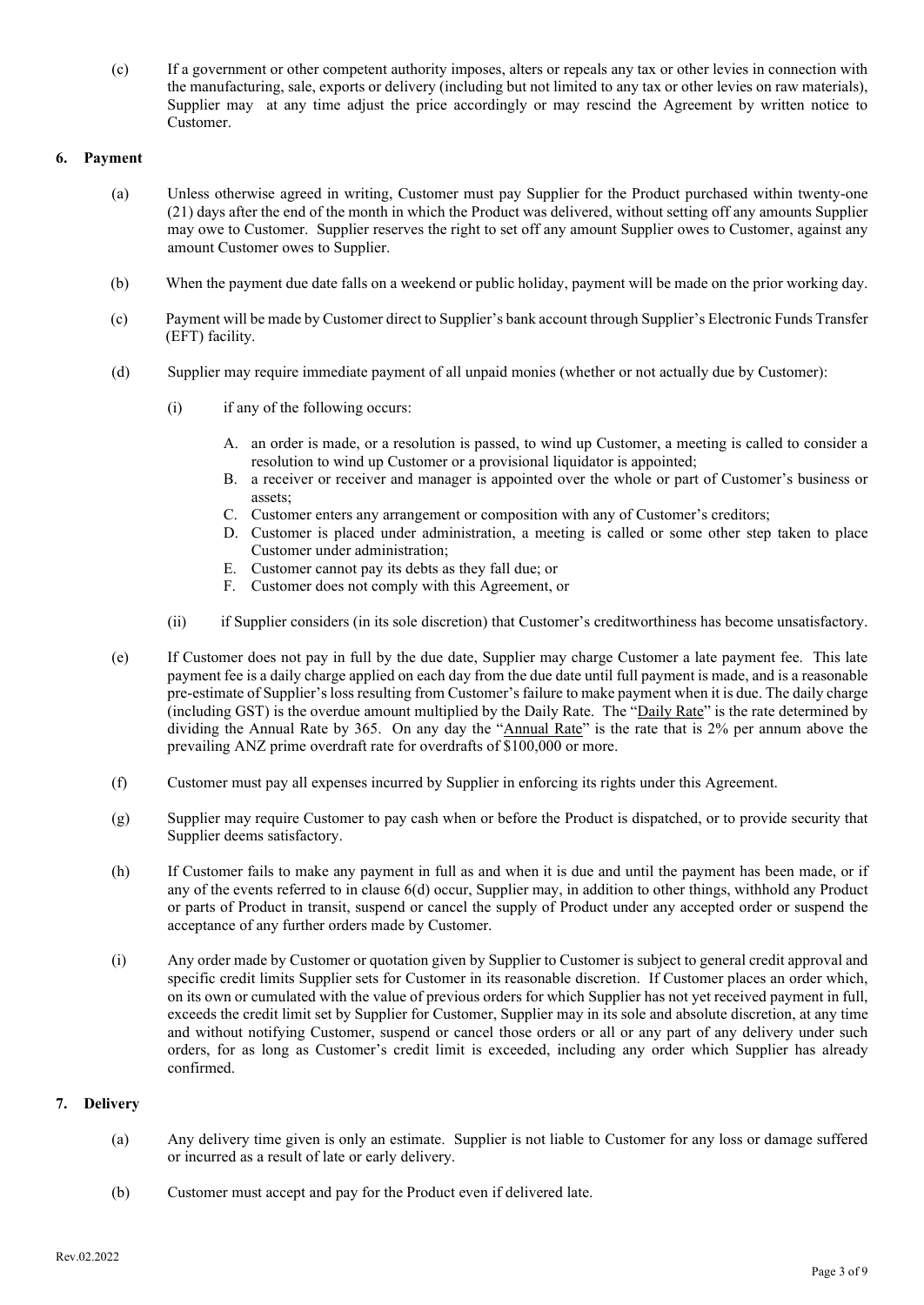(c) If a government or other competent authority imposes, alters or repeals any tax or other levies in connection with the manufacturing, sale, exports or delivery (including but not limited to any tax or other levies on raw materials), Supplier may at any time adjust the price accordingly or may rescind the Agreement by written notice to Customer.

## **6. Payment**

- (a) Unless otherwise agreed in writing, Customer must pay Supplier for the Product purchased within twenty-one (21) days after the end of the month in which the Product was delivered, without setting off any amounts Supplier may owe to Customer. Supplier reserves the right to set off any amount Supplier owes to Customer, against any amount Customer owes to Supplier.
- (b) When the payment due date falls on a weekend or public holiday, payment will be made on the prior working day.
- (c) Payment will be made by Customer direct to Supplier's bank account through Supplier's Electronic Funds Transfer (EFT) facility.
- (d) Supplier may require immediate payment of all unpaid monies (whether or not actually due by Customer):
	- (i) if any of the following occurs:
		- A. an order is made, or a resolution is passed, to wind up Customer, a meeting is called to consider a resolution to wind up Customer or a provisional liquidator is appointed;
		- B. a receiver or receiver and manager is appointed over the whole or part of Customer's business or assets;
		- C. Customer enters any arrangement or composition with any of Customer's creditors;
		- D. Customer is placed under administration, a meeting is called or some other step taken to place Customer under administration;
		- E. Customer cannot pay its debts as they fall due; or
		- F. Customer does not comply with this Agreement, or
	- (ii) if Supplier considers (in its sole discretion) that Customer's creditworthiness has become unsatisfactory.
- (e) If Customer does not pay in full by the due date, Supplier may charge Customer a late payment fee. This late payment fee is a daily charge applied on each day from the due date until full payment is made, and is a reasonable pre-estimate of Supplier'sloss resulting from Customer'sfailure to make payment when it is due. The daily charge (including GST) is the overdue amount multiplied by the Daily Rate. The "Daily Rate" is the rate determined by dividing the Annual Rate by 365. On any day the "Annual Rate" is the rate that is 2% per annum above the prevailing ANZ prime overdraft rate for overdrafts of \$100,000 or more.
- (f) Customer must pay all expenses incurred by Supplier in enforcing its rights under this Agreement.
- (g) Supplier may require Customer to pay cash when or before the Product is dispatched, or to provide security that Supplier deems satisfactory.
- (h) If Customer fails to make any payment in full as and when it is due and until the payment has been made, or if any of the events referred to in clause 6(d) occur, Supplier may, in addition to other things, withhold any Product or parts of Product in transit, suspend or cancel the supply of Product under any accepted order or suspend the acceptance of any further orders made by Customer.
- (i) Any order made by Customer or quotation given by Supplier to Customer is subject to general credit approval and specific credit limits Supplier sets for Customer in its reasonable discretion. If Customer places an order which, on its own or cumulated with the value of previous orders for which Supplier has not yet received payment in full, exceeds the credit limit set by Supplier for Customer, Supplier may in its sole and absolute discretion, at any time and without notifying Customer, suspend or cancel those orders or all or any part of any delivery under such orders, for as long as Customer's credit limit is exceeded, including any order which Supplier has already confirmed.

# **7. Delivery**

- (a) Any delivery time given is only an estimate. Supplier is not liable to Customer for any loss or damage suffered or incurred as a result of late or early delivery.
- (b) Customer must accept and pay for the Product even if delivered late.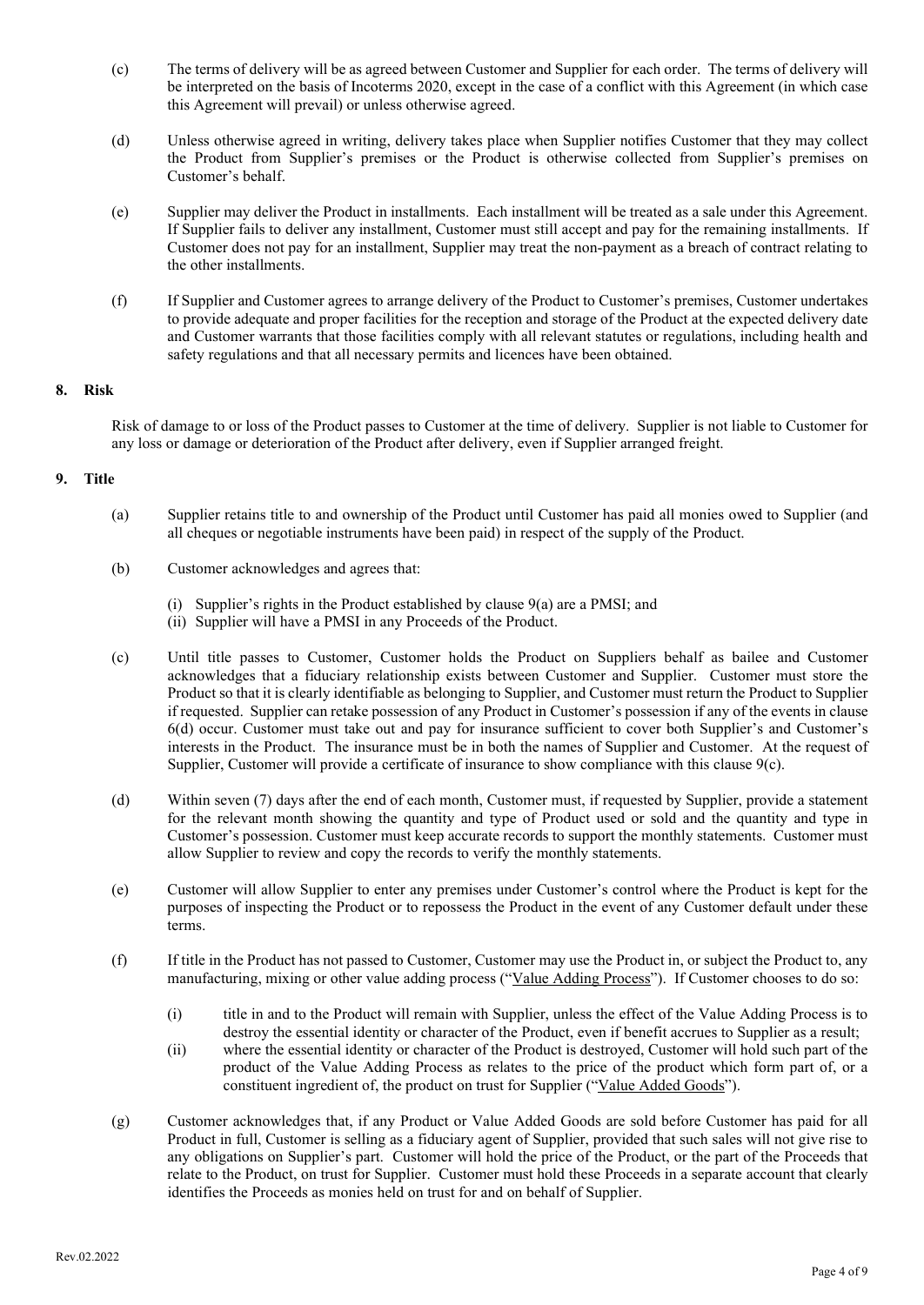- (c) The terms of delivery will be as agreed between Customer and Supplier for each order. The terms of delivery will be interpreted on the basis of Incoterms 2020, except in the case of a conflict with this Agreement (in which case this Agreement will prevail) or unless otherwise agreed.
- (d) Unless otherwise agreed in writing, delivery takes place when Supplier notifies Customer that they may collect the Product from Supplier's premises or the Product is otherwise collected from Supplier's premises on Customer's behalf.
- (e) Supplier may deliver the Product in installments. Each installment will be treated as a sale under this Agreement. If Supplier fails to deliver any installment, Customer must still accept and pay for the remaining installments. If Customer does not pay for an installment, Supplier may treat the non-payment as a breach of contract relating to the other installments.
- (f) If Supplier and Customer agrees to arrange delivery of the Product to Customer's premises, Customer undertakes to provide adequate and proper facilities for the reception and storage of the Product at the expected delivery date and Customer warrants that those facilities comply with all relevant statutes or regulations, including health and safety regulations and that all necessary permits and licences have been obtained.

### **8. Risk**

Risk of damage to or loss of the Product passes to Customer at the time of delivery. Supplier is not liable to Customer for any loss or damage or deterioration of the Product after delivery, even if Supplier arranged freight.

### **9. Title**

- (a) Supplier retains title to and ownership of the Product until Customer has paid all monies owed to Supplier (and all cheques or negotiable instruments have been paid) in respect of the supply of the Product.
- (b) Customer acknowledges and agrees that:
	- (i) Supplier's rights in the Product established by clause 9(a) are a PMSI; and
	- (ii) Supplier will have a PMSI in any Proceeds of the Product.
- (c) Until title passes to Customer, Customer holds the Product on Suppliers behalf as bailee and Customer acknowledges that a fiduciary relationship exists between Customer and Supplier. Customer must store the Product so that it is clearly identifiable as belonging to Supplier, and Customer must return the Product to Supplier if requested. Supplier can retake possession of any Product in Customer's possession if any of the events in clause 6(d) occur. Customer must take out and pay for insurance sufficient to cover both Supplier's and Customer's interests in the Product. The insurance must be in both the names of Supplier and Customer. At the request of Supplier, Customer will provide a certificate of insurance to show compliance with this clause 9(c).
- (d) Within seven (7) days after the end of each month, Customer must, if requested by Supplier, provide a statement for the relevant month showing the quantity and type of Product used or sold and the quantity and type in Customer's possession. Customer must keep accurate records to support the monthly statements. Customer must allow Supplier to review and copy the records to verify the monthly statements.
- (e) Customer will allow Supplier to enter any premises under Customer's control where the Product is kept for the purposes of inspecting the Product or to repossess the Product in the event of any Customer default under these terms.
- (f) If title in the Product has not passed to Customer, Customer may use the Product in, or subject the Product to, any manufacturing, mixing or other value adding process ("Value Adding Process"). If Customer chooses to do so:
	- (i) title in and to the Product will remain with Supplier, unless the effect of the Value Adding Process is to destroy the essential identity or character of the Product, even if benefit accrues to Supplier as a result;
	- (ii) where the essential identity or character of the Product is destroyed, Customer will hold such part of the product of the Value Adding Process as relates to the price of the product which form part of, or a constituent ingredient of, the product on trust for Supplier ("Value Added Goods").
- (g) Customer acknowledges that, if any Product or Value Added Goods are sold before Customer has paid for all Product in full, Customer is selling as a fiduciary agent of Supplier, provided that such sales will not give rise to any obligations on Supplier's part. Customer will hold the price of the Product, or the part of the Proceeds that relate to the Product, on trust for Supplier. Customer must hold these Proceeds in a separate account that clearly identifies the Proceeds as monies held on trust for and on behalf of Supplier.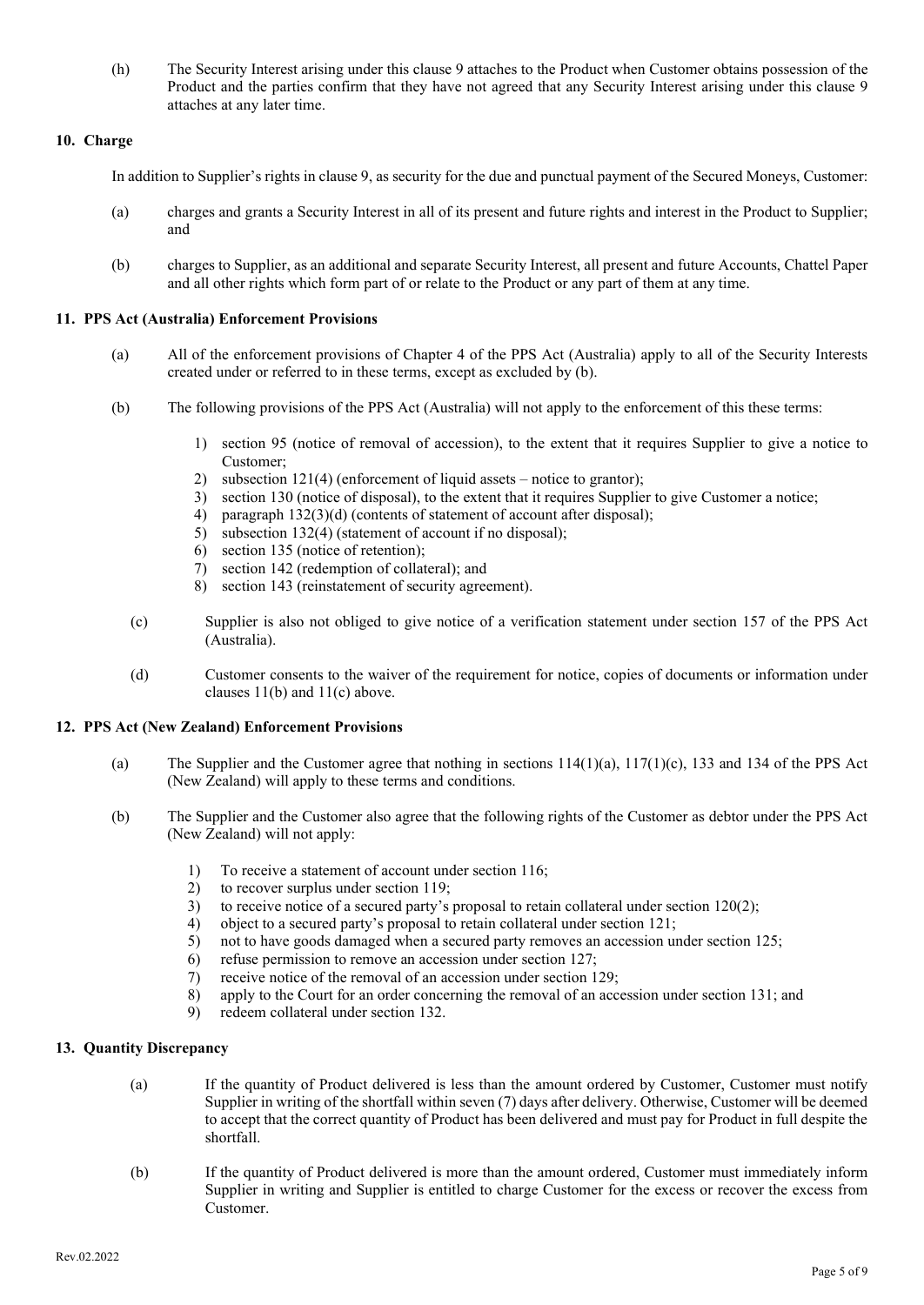(h) The Security Interest arising under this clause 9 attaches to the Product when Customer obtains possession of the Product and the parties confirm that they have not agreed that any Security Interest arising under this clause 9 attaches at any later time.

## **10. Charge**

In addition to Supplier's rights in clause 9, as security for the due and punctual payment of the Secured Moneys, Customer:

- (a) charges and grants a Security Interest in all of its present and future rights and interest in the Product to Supplier; and
- (b) charges to Supplier, as an additional and separate Security Interest, all present and future Accounts, Chattel Paper and all other rights which form part of or relate to the Product or any part of them at any time.

### **11. PPS Act (Australia) Enforcement Provisions**

- (a) All of the enforcement provisions of Chapter 4 of the PPS Act (Australia) apply to all of the Security Interests created under or referred to in these terms, except as excluded by (b).
- (b) The following provisions of the PPS Act (Australia) will not apply to the enforcement of this these terms:
	- 1) section 95 (notice of removal of accession), to the extent that it requires Supplier to give a notice to Customer;
	-
	- 2) subsection 121(4) (enforcement of liquid assets notice to grantor);<br>3) section 130 (notice of disposal), to the extent that it requires Supplie section 130 (notice of disposal), to the extent that it requires Supplier to give Customer a notice;
	- 4) paragraph 132(3)(d) (contents of statement of account after disposal);
	- 5) subsection 132(4) (statement of account if no disposal);
	- 6) section 135 (notice of retention);
	- 7) section 142 (redemption of collateral); and
	- 8) section 143 (reinstatement of security agreement).
	- (c) Supplier is also not obliged to give notice of a verification statement under section 157 of the PPS Act (Australia).
	- (d) Customer consents to the waiver of the requirement for notice, copies of documents or information under clauses 11(b) and 11(c) above.

### **12. PPS Act (New Zealand) Enforcement Provisions**

- (a) The Supplier and the Customer agree that nothing in sections  $114(1)(a)$ ,  $117(1)(c)$ , 133 and 134 of the PPS Act (New Zealand) will apply to these terms and conditions.
- (b) The Supplier and the Customer also agree that the following rights of the Customer as debtor under the PPS Act (New Zealand) will not apply:
	- 1) To receive a statement of account under section 116;
	- 2) to recover surplus under section 119;
	- 3) to receive notice of a secured party's proposal to retain collateral under section  $120(2)$ ;<br>4) object to a secured party's proposal to retain collateral under section 121;
	- object to a secured party's proposal to retain collateral under section 121;
	- 5) not to have goods damaged when a secured party removes an accession under section 125;
	- 6) refuse permission to remove an accession under section 127;
	- 7) receive notice of the removal of an accession under section 129;
	- 8) apply to the Court for an order concerning the removal of an accession under section 131; and
	- 9) redeem collateral under section 132.

# **13. Quantity Discrepancy**

- (a) If the quantity of Product delivered is less than the amount ordered by Customer, Customer must notify Supplier in writing of the shortfall within seven (7) days after delivery. Otherwise, Customer will be deemed to accept that the correct quantity of Product has been delivered and must pay for Product in full despite the shortfall.
- (b) If the quantity of Product delivered is more than the amount ordered, Customer must immediately inform Supplier in writing and Supplier is entitled to charge Customer for the excess or recover the excess from Customer.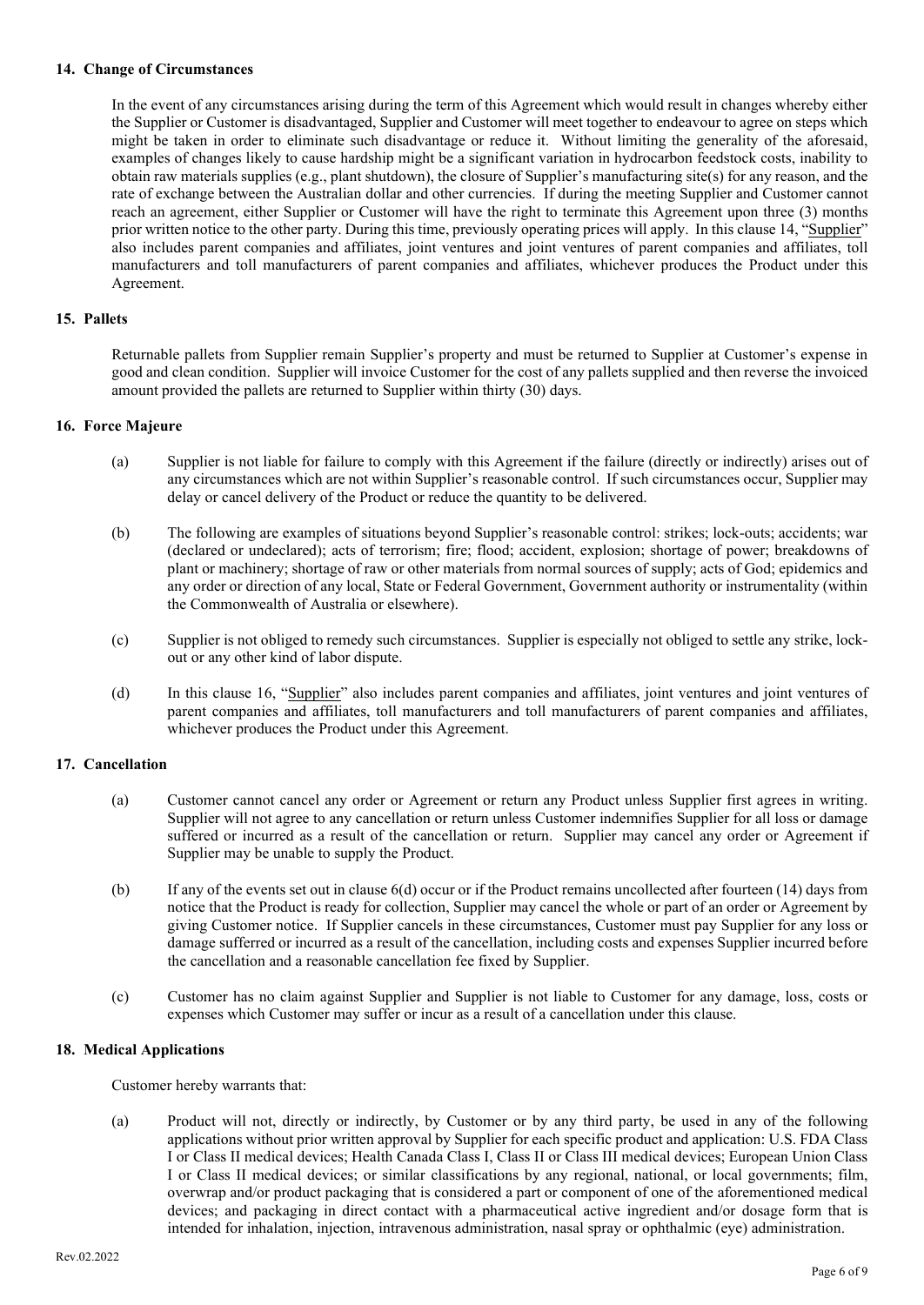#### **14. Change of Circumstances**

In the event of any circumstances arising during the term of this Agreement which would result in changes whereby either the Supplier or Customer is disadvantaged, Supplier and Customer will meet together to endeavour to agree on steps which might be taken in order to eliminate such disadvantage or reduce it. Without limiting the generality of the aforesaid, examples of changes likely to cause hardship might be a significant variation in hydrocarbon feedstock costs, inability to obtain raw materials supplies (e.g., plant shutdown), the closure of Supplier's manufacturing site(s) for any reason, and the rate of exchange between the Australian dollar and other currencies. If during the meeting Supplier and Customer cannot reach an agreement, either Supplier or Customer will have the right to terminate this Agreement upon three (3) months prior written notice to the other party. During this time, previously operating prices will apply. In this clause 14, "Supplier" also includes parent companies and affiliates, joint ventures and joint ventures of parent companies and affiliates, toll manufacturers and toll manufacturers of parent companies and affiliates, whichever produces the Product under this Agreement.

### **15. Pallets**

Returnable pallets from Supplier remain Supplier's property and must be returned to Supplier at Customer's expense in good and clean condition. Supplier will invoice Customer for the cost of any pallets supplied and then reverse the invoiced amount provided the pallets are returned to Supplier within thirty (30) days.

### **16. Force Majeure**

- (a) Supplier is not liable for failure to comply with this Agreement if the failure (directly or indirectly) arises out of any circumstances which are not within Supplier's reasonable control. If such circumstances occur, Supplier may delay or cancel delivery of the Product or reduce the quantity to be delivered.
- (b) The following are examples of situations beyond Supplier's reasonable control: strikes; lock-outs; accidents; war (declared or undeclared); acts of terrorism; fire; flood; accident, explosion; shortage of power; breakdowns of plant or machinery; shortage of raw or other materials from normal sources of supply; acts of God; epidemics and any order or direction of any local, State or Federal Government, Government authority or instrumentality (within the Commonwealth of Australia or elsewhere).
- (c) Supplier is not obliged to remedy such circumstances. Supplier is especially not obliged to settle any strike, lockout or any other kind of labor dispute.
- (d) In this clause 16, "Supplier" also includes parent companies and affiliates, joint ventures and joint ventures of parent companies and affiliates, toll manufacturers and toll manufacturers of parent companies and affiliates, whichever produces the Product under this Agreement.

# **17. Cancellation**

- (a) Customer cannot cancel any order or Agreement or return any Product unless Supplier first agrees in writing. Supplier will not agree to any cancellation or return unless Customer indemnifies Supplier for all loss or damage suffered or incurred as a result of the cancellation or return. Supplier may cancel any order or Agreement if Supplier may be unable to supply the Product.
- (b) If any of the events set out in clause 6(d) occur or if the Product remains uncollected after fourteen (14) days from notice that the Product is ready for collection, Supplier may cancel the whole or part of an order or Agreement by giving Customer notice. If Supplier cancels in these circumstances, Customer must pay Supplier for any loss or damage sufferred or incurred as a result of the cancellation, including costs and expenses Supplier incurred before the cancellation and a reasonable cancellation fee fixed by Supplier.
- (c) Customer has no claim against Supplier and Supplier is not liable to Customer for any damage, loss, costs or expenses which Customer may suffer or incur as a result of a cancellation under this clause.

### **18. Medical Applications**

Customer hereby warrants that:

(a) Product will not, directly or indirectly, by Customer or by any third party, be used in any of the following applications without prior written approval by Supplier for each specific product and application: U.S. FDA Class I or Class II medical devices; Health Canada Class I, Class II or Class III medical devices; European Union Class I or Class II medical devices; or similar classifications by any regional, national, or local governments; film, overwrap and/or product packaging that is considered a part or component of one of the aforementioned medical devices; and packaging in direct contact with a pharmaceutical active ingredient and/or dosage form that is intended for inhalation, injection, intravenous administration, nasal spray or ophthalmic (eye) administration.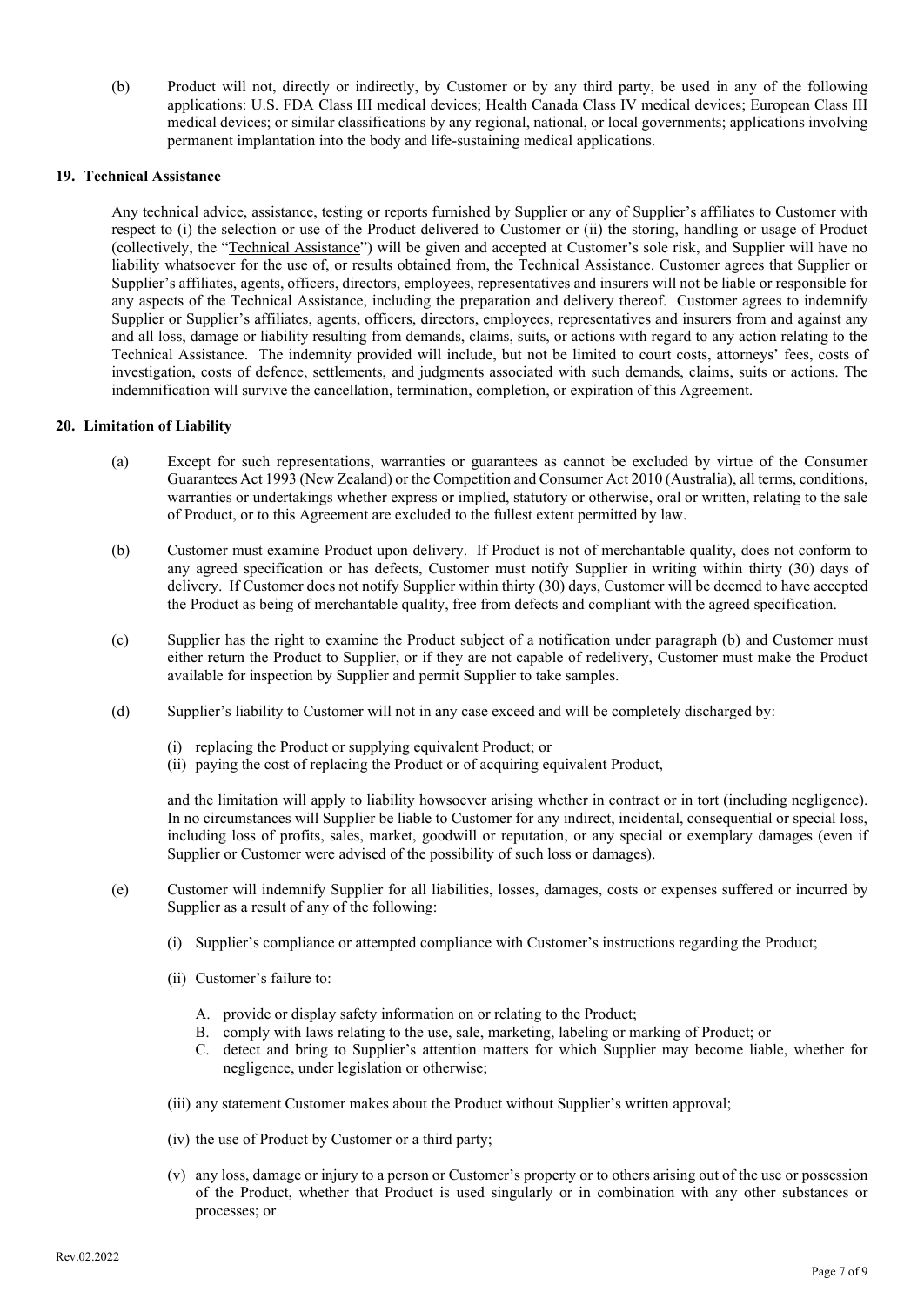(b) Product will not, directly or indirectly, by Customer or by any third party, be used in any of the following applications: U.S. FDA Class III medical devices; Health Canada Class IV medical devices; European Class III medical devices; or similar classifications by any regional, national, or local governments; applications involving permanent implantation into the body and life-sustaining medical applications.

### **19. Technical Assistance**

Any technical advice, assistance, testing or reports furnished by Supplier or any of Supplier's affiliates to Customer with respect to (i) the selection or use of the Product delivered to Customer or (ii) the storing, handling or usage of Product (collectively, the "Technical Assistance") will be given and accepted at Customer's sole risk, and Supplier will have no liability whatsoever for the use of, or results obtained from, the Technical Assistance. Customer agrees that Supplier or Supplier's affiliates, agents, officers, directors, employees, representatives and insurers will not be liable or responsible for any aspects of the Technical Assistance, including the preparation and delivery thereof. Customer agrees to indemnify Supplier or Supplier's affiliates, agents, officers, directors, employees, representatives and insurers from and against any and all loss, damage or liability resulting from demands, claims, suits, or actions with regard to any action relating to the Technical Assistance. The indemnity provided will include, but not be limited to court costs, attorneys' fees, costs of investigation, costs of defence, settlements, and judgments associated with such demands, claims, suits or actions. The indemnification will survive the cancellation, termination, completion, or expiration of this Agreement.

#### **20. Limitation of Liability**

- (a) Except for such representations, warranties or guarantees as cannot be excluded by virtue of the Consumer Guarantees Act 1993 (New Zealand) or the Competition and Consumer Act 2010 (Australia), all terms, conditions, warranties or undertakings whether express or implied, statutory or otherwise, oral or written, relating to the sale of Product, or to this Agreement are excluded to the fullest extent permitted by law.
- (b) Customer must examine Product upon delivery. If Product is not of merchantable quality, does not conform to any agreed specification or has defects, Customer must notify Supplier in writing within thirty (30) days of delivery. If Customer does not notify Supplier within thirty (30) days, Customer will be deemed to have accepted the Product as being of merchantable quality, free from defects and compliant with the agreed specification.
- (c) Supplier has the right to examine the Product subject of a notification under paragraph (b) and Customer must either return the Product to Supplier, or if they are not capable of redelivery, Customer must make the Product available for inspection by Supplier and permit Supplier to take samples.
- (d) Supplier's liability to Customer will not in any case exceed and will be completely discharged by:
	- (i) replacing the Product or supplying equivalent Product; or
	- (ii) paying the cost of replacing the Product or of acquiring equivalent Product,

and the limitation will apply to liability howsoever arising whether in contract or in tort (including negligence). In no circumstances will Supplier be liable to Customer for any indirect, incidental, consequential or special loss, including loss of profits, sales, market, goodwill or reputation, or any special or exemplary damages (even if Supplier or Customer were advised of the possibility of such loss or damages).

- (e) Customer will indemnify Supplier for all liabilities, losses, damages, costs or expenses suffered or incurred by Supplier as a result of any of the following:
	- (i) Supplier's compliance or attempted compliance with Customer's instructions regarding the Product;
	- (ii) Customer's failure to:
		- A. provide or display safety information on or relating to the Product;
		- B. comply with laws relating to the use, sale, marketing, labeling or marking of Product; or
		- C. detect and bring to Supplier's attention matters for which Supplier may become liable, whether for negligence, under legislation or otherwise;
	- (iii) any statement Customer makes about the Product without Supplier's written approval;
	- (iv) the use of Product by Customer or a third party;
	- (v) any loss, damage or injury to a person or Customer's property or to others arising out of the use or possession of the Product, whether that Product is used singularly or in combination with any other substances or processes; or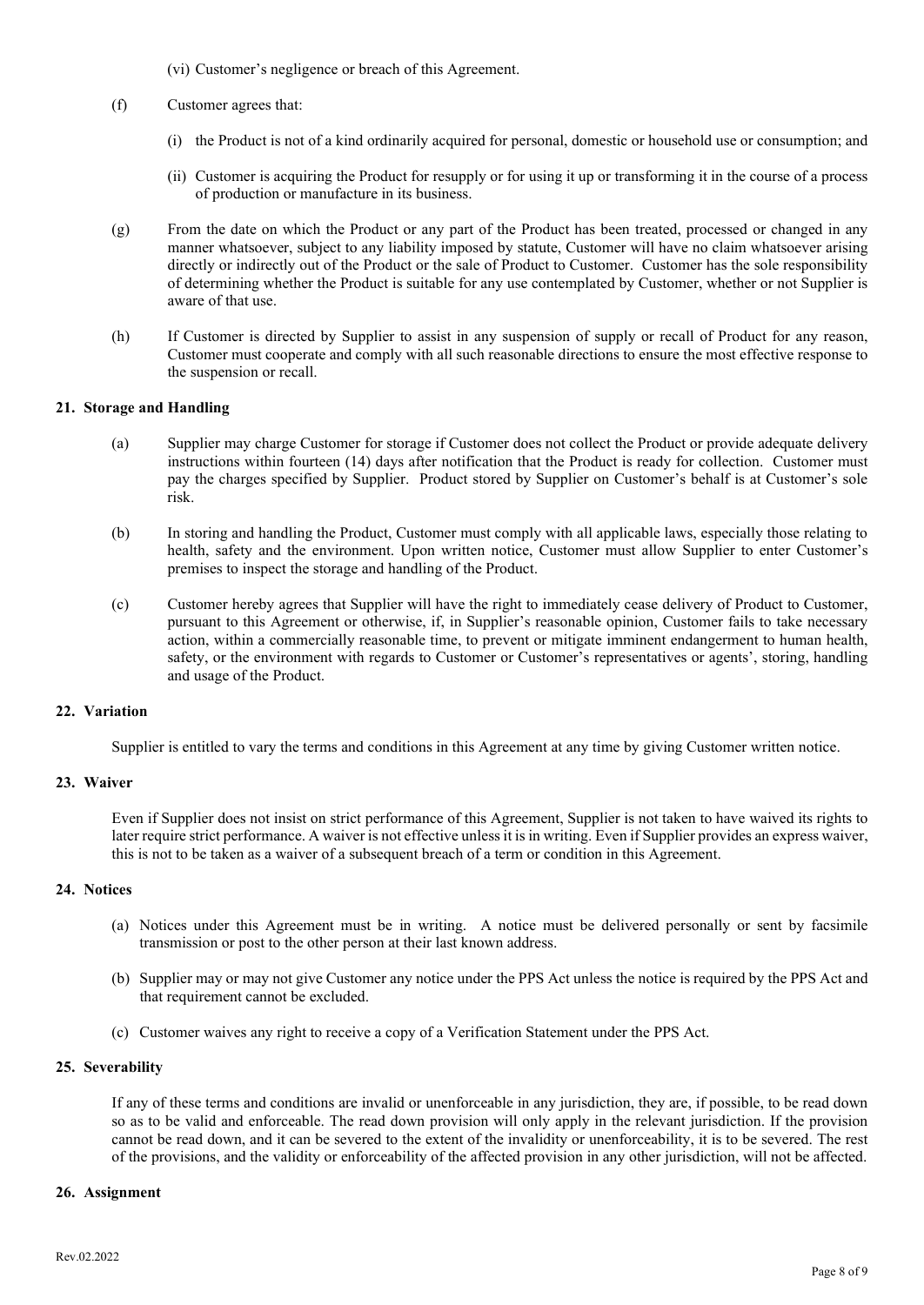- (vi) Customer's negligence or breach of this Agreement.
- (f) Customer agrees that:
	- (i) the Product is not of a kind ordinarily acquired for personal, domestic or household use or consumption; and
	- (ii) Customer is acquiring the Product for resupply or for using it up or transforming it in the course of a process of production or manufacture in its business.
- (g) From the date on which the Product or any part of the Product has been treated, processed or changed in any manner whatsoever, subject to any liability imposed by statute, Customer will have no claim whatsoever arising directly or indirectly out of the Product or the sale of Product to Customer. Customer has the sole responsibility of determining whether the Product is suitable for any use contemplated by Customer, whether or not Supplier is aware of that use.
- (h) If Customer is directed by Supplier to assist in any suspension of supply or recall of Product for any reason, Customer must cooperate and comply with all such reasonable directions to ensure the most effective response to the suspension or recall.

#### **21. Storage and Handling**

- (a) Supplier may charge Customer for storage if Customer does not collect the Product or provide adequate delivery instructions within fourteen (14) days after notification that the Product is ready for collection. Customer must pay the charges specified by Supplier. Product stored by Supplier on Customer's behalf is at Customer's sole risk.
- (b) In storing and handling the Product, Customer must comply with all applicable laws, especially those relating to health, safety and the environment. Upon written notice, Customer must allow Supplier to enter Customer's premises to inspect the storage and handling of the Product.
- (c) Customer hereby agrees that Supplier will have the right to immediately cease delivery of Product to Customer, pursuant to this Agreement or otherwise, if, in Supplier's reasonable opinion, Customer fails to take necessary action, within a commercially reasonable time, to prevent or mitigate imminent endangerment to human health, safety, or the environment with regards to Customer or Customer's representatives or agents', storing, handling and usage of the Product.

#### **22. Variation**

Supplier is entitled to vary the terms and conditions in this Agreement at any time by giving Customer written notice.

#### **23. Waiver**

Even if Supplier does not insist on strict performance of this Agreement, Supplier is not taken to have waived its rights to later require strict performance. A waiver is not effective unless it is in writing. Even if Supplier provides an express waiver, this is not to be taken as a waiver of a subsequent breach of a term or condition in this Agreement.

#### **24. Notices**

- (a) Notices under this Agreement must be in writing. A notice must be delivered personally or sent by facsimile transmission or post to the other person at their last known address.
- (b) Supplier may or may not give Customer any notice under the PPS Act unless the notice is required by the PPS Act and that requirement cannot be excluded.
- (c) Customer waives any right to receive a copy of a Verification Statement under the PPS Act.

#### **25. Severability**

If any of these terms and conditions are invalid or unenforceable in any jurisdiction, they are, if possible, to be read down so as to be valid and enforceable. The read down provision will only apply in the relevant jurisdiction. If the provision cannot be read down, and it can be severed to the extent of the invalidity or unenforceability, it is to be severed. The rest of the provisions, and the validity or enforceability of the affected provision in any other jurisdiction, will not be affected.

#### **26. Assignment**